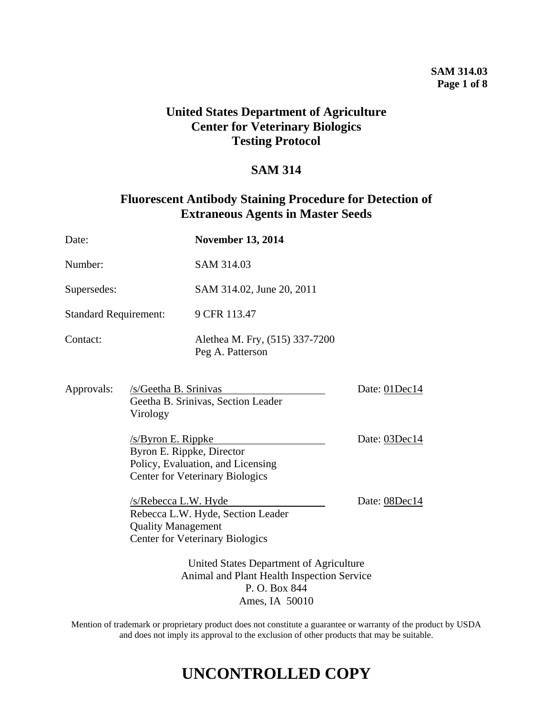# **SAM 314.03 Page 1 of 8**

# **United States Department of Agriculture Center for Veterinary Biologics Testing Protocol**

# **SAM 314**

# **Fluorescent Antibody Staining Procedure for Detection of Extraneous Agents in Master Seeds**

| Date:                                                                                                                   |                                                                                                                                                                                                              | <b>November 13, 2014</b>                                                    |               |
|-------------------------------------------------------------------------------------------------------------------------|--------------------------------------------------------------------------------------------------------------------------------------------------------------------------------------------------------------|-----------------------------------------------------------------------------|---------------|
| Number:                                                                                                                 |                                                                                                                                                                                                              | SAM 314.03                                                                  |               |
| Supersedes:                                                                                                             |                                                                                                                                                                                                              | SAM 314.02, June 20, 2011                                                   |               |
| <b>Standard Requirement:</b>                                                                                            |                                                                                                                                                                                                              | 9 CFR 113.47                                                                |               |
| Contact:                                                                                                                |                                                                                                                                                                                                              | Alethea M. Fry, (515) 337-7200<br>Peg A. Patterson                          |               |
| Approvals:                                                                                                              | /s/Geetha B. Srinivas<br>Geetha B. Srinivas, Section Leader<br>Virology<br>$/s$ /Byron E. Rippke<br>Byron E. Rippke, Director<br>Policy, Evaluation, and Licensing<br><b>Center for Veterinary Biologics</b> |                                                                             | Date: 01Dec14 |
|                                                                                                                         |                                                                                                                                                                                                              |                                                                             | Date: 03Dec14 |
|                                                                                                                         | /s/Rebecca L.W. Hyde<br><b>Quality Management</b>                                                                                                                                                            | Rebecca L.W. Hyde, Section Leader<br><b>Center for Veterinary Biologics</b> | Date: 08Dec14 |
| United States Department of Agriculture<br>Animal and Plant Health Inspection Service<br>P.O. Box 844<br>Ames, IA 50010 |                                                                                                                                                                                                              |                                                                             |               |

Mention of trademark or proprietary product does not constitute a guarantee or warranty of the product by USDA and does not imply its approval to the exclusion of other products that may be suitable.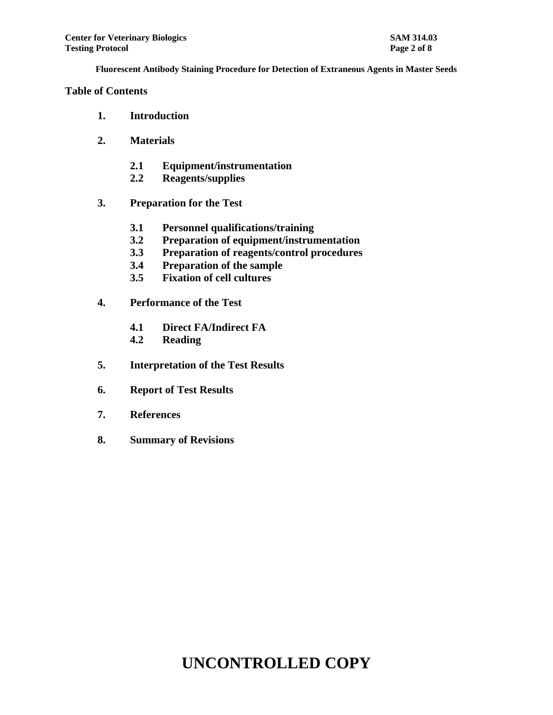### **Table of Contents**

- **1. Introduction**
- **2. Materials**
	- **2.1 Equipment/instrumentation**
	- **2.2 Reagents/supplies**
- **3. Preparation for the Test**
	- **3.1 Personnel qualifications/training**
	- **3.2 Preparation of equipment/instrumentation**
	- **3.3 Preparation of reagents/control procedures**
	- **3.4 Preparation of the sample**
	- **3.5 Fixation of cell cultures**
- **4. Performance of the Test**
	- **4.1 Direct FA/Indirect FA**
	- **4.2 Reading**
- **5. Interpretation of the Test Results**
- **6. Report of Test Results**
- **7. References**
- **8. Summary of Revisions**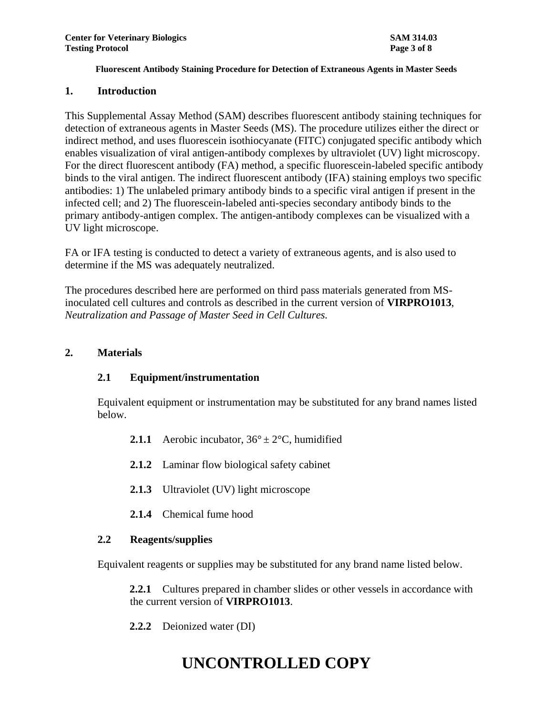#### **1. Introduction**

This Supplemental Assay Method (SAM) describes fluorescent antibody staining techniques for detection of extraneous agents in Master Seeds (MS). The procedure utilizes either the direct or indirect method, and uses fluorescein isothiocyanate (FITC) conjugated specific antibody which enables visualization of viral antigen-antibody complexes by ultraviolet (UV) light microscopy. For the direct fluorescent antibody (FA) method, a specific fluorescein-labeled specific antibody binds to the viral antigen. The indirect fluorescent antibody (IFA) staining employs two specific antibodies: 1) The unlabeled primary antibody binds to a specific viral antigen if present in the infected cell; and 2) The fluorescein-labeled anti-species secondary antibody binds to the primary antibody-antigen complex. The antigen-antibody complexes can be visualized with a UV light microscope.

FA or IFA testing is conducted to detect a variety of extraneous agents, and is also used to determine if the MS was adequately neutralized.

The procedures described here are performed on third pass materials generated from MSinoculated cell cultures and controls as described in the current version of **VIRPRO1013**, *Neutralization and Passage of Master Seed in Cell Cultures.*

### **2. Materials**

# **2.1 Equipment/instrumentation**

Equivalent equipment or instrumentation may be substituted for any brand names listed below.

- **2.1.1** Aerobic incubator,  $36^{\circ} \pm 2^{\circ}$ C, humidified
- **2.1.2** Laminar flow biological safety cabinet
- 2.1.3 Ultraviolet (UV) light microscope
- **2.1.4** Chemical fume hood

# **2.2 Reagents/supplies**

Equivalent reagents or supplies may be substituted for any brand name listed below.

**2.2.1** Cultures prepared in chamber slides or other vessels in accordance with the current version of **VIRPRO1013**.

**2.2.2** Deionized water (DI)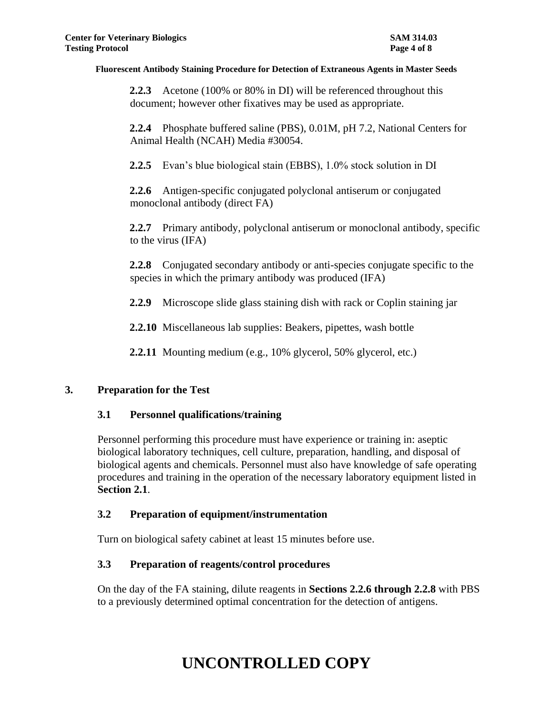**2.2.3** Acetone (100% or 80% in DI) will be referenced throughout this document; however other fixatives may be used as appropriate.

**2.2.4** Phosphate buffered saline (PBS), 0.01M, pH 7.2, National Centers for Animal Health (NCAH) Media #30054.

**2.2.5** Evan's blue biological stain (EBBS), 1.0% stock solution in DI

**2.2.6** Antigen-specific conjugated polyclonal antiserum or conjugated monoclonal antibody (direct FA)

**2.2.7** Primary antibody, polyclonal antiserum or monoclonal antibody, specific to the virus (IFA)

**2.2.8** Conjugated secondary antibody or anti-species conjugate specific to the species in which the primary antibody was produced (IFA)

**2.2.9** Microscope slide glass staining dish with rack or Coplin staining jar

**2.2.10** Miscellaneous lab supplies: Beakers, pipettes, wash bottle

**2.2.11** Mounting medium (e.g., 10% glycerol, 50% glycerol, etc.)

# **3. Preparation for the Test**

# **3.1 Personnel qualifications/training**

Personnel performing this procedure must have experience or training in: aseptic biological laboratory techniques, cell culture, preparation, handling, and disposal of biological agents and chemicals. Personnel must also have knowledge of safe operating procedures and training in the operation of the necessary laboratory equipment listed in **Section 2.1**.

# **3.2 Preparation of equipment/instrumentation**

Turn on biological safety cabinet at least 15 minutes before use.

# **3.3 Preparation of reagents/control procedures**

On the day of the FA staining, dilute reagents in **Sections 2.2.6 through 2.2.8** with PBS to a previously determined optimal concentration for the detection of antigens.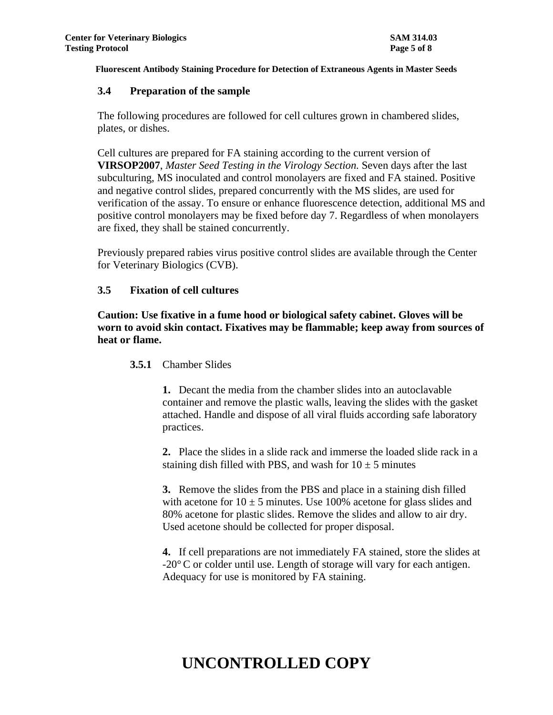#### **3.4 Preparation of the sample**

The following procedures are followed for cell cultures grown in chambered slides, plates, or dishes.

Cell cultures are prepared for FA staining according to the current version of **VIRSOP2007**, *Master Seed Testing in the Virology Section.* Seven days after the last subculturing, MS inoculated and control monolayers are fixed and FA stained. Positive and negative control slides, prepared concurrently with the MS slides, are used for verification of the assay. To ensure or enhance fluorescence detection, additional MS and positive control monolayers may be fixed before day 7. Regardless of when monolayers are fixed, they shall be stained concurrently.

Previously prepared rabies virus positive control slides are available through the Center for Veterinary Biologics (CVB).

# **3.5 Fixation of cell cultures**

**Caution: Use fixative in a fume hood or biological safety cabinet. Gloves will be worn to avoid skin contact. Fixatives may be flammable; keep away from sources of heat or flame.** 

# **3.5.1** Chamber Slides

**1.** Decant the media from the chamber slides into an autoclavable container and remove the plastic walls, leaving the slides with the gasket attached. Handle and dispose of all viral fluids according safe laboratory practices.

**2.** Place the slides in a slide rack and immerse the loaded slide rack in a staining dish filled with PBS, and wash for  $10 \pm 5$  minutes

**3.** Remove the slides from the PBS and place in a staining dish filled with acetone for  $10 \pm 5$  minutes. Use 100% acetone for glass slides and 80% acetone for plastic slides. Remove the slides and allow to air dry. Used acetone should be collected for proper disposal.

**4.** If cell preparations are not immediately FA stained, store the slides at -20°C or colder until use. Length of storage will vary for each antigen. Adequacy for use is monitored by FA staining.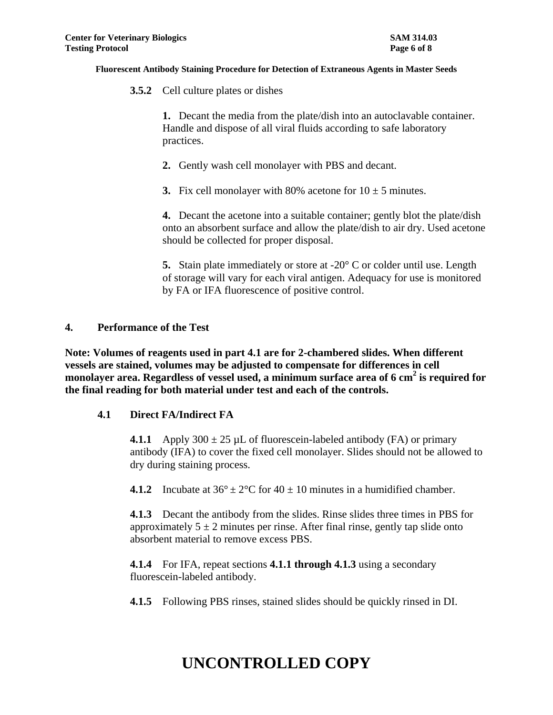**3.5.2** Cell culture plates or dishes

**1.** Decant the media from the plate/dish into an autoclavable container. Handle and dispose of all viral fluids according to safe laboratory practices.

- **2.** Gently wash cell monolayer with PBS and decant.
- **3.** Fix cell monolayer with 80% acetone for  $10 \pm 5$  minutes.

**4.** Decant the acetone into a suitable container; gently blot the plate/dish onto an absorbent surface and allow the plate/dish to air dry. Used acetone should be collected for proper disposal.

**5.** Stain plate immediately or store at -20° C or colder until use. Length of storage will vary for each viral antigen. Adequacy for use is monitored by FA or IFA fluorescence of positive control.

### **4. Performance of the Test**

**Note: Volumes of reagents used in part 4.1 are for 2-chambered slides. When different vessels are stained, volumes may be adjusted to compensate for differences in cell monolayer area. Regardless of vessel used, a minimum surface area of 6 cm<sup>2</sup> is required for the final reading for both material under test and each of the controls.**

# **4.1 Direct FA/Indirect FA**

**4.1.1** Apply  $300 \pm 25$  µL of fluorescein-labeled antibody (FA) or primary antibody (IFA) to cover the fixed cell monolayer. Slides should not be allowed to dry during staining process.

**4.1.2** Incubate at  $36^{\circ} \pm 2^{\circ}$ C for  $40 \pm 10$  minutes in a humidified chamber.

**4.1.3** Decant the antibody from the slides. Rinse slides three times in PBS for approximately  $5 \pm 2$  minutes per rinse. After final rinse, gently tap slide onto absorbent material to remove excess PBS.

**4.1.4** For IFA, repeat sections **4.1.1 through 4.1.3** using a secondary fluorescein-labeled antibody.

**4.1.5** Following PBS rinses, stained slides should be quickly rinsed in DI.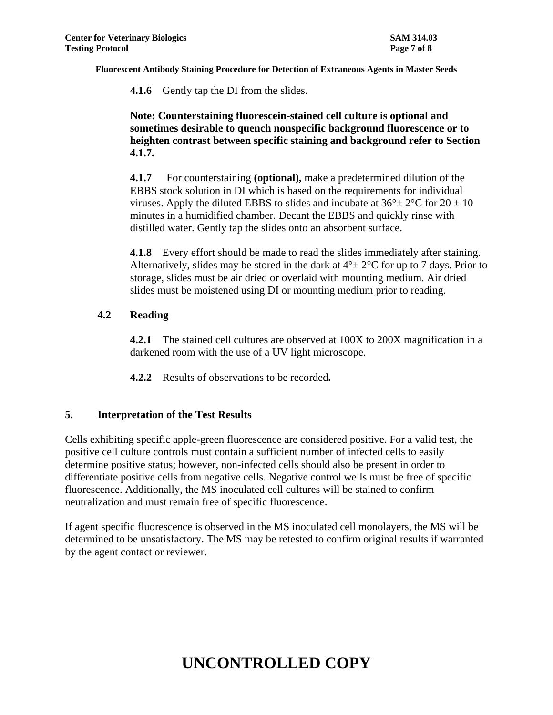**4.1.6** Gently tap the DI from the slides.

**Note: Counterstaining fluorescein-stained cell culture is optional and sometimes desirable to quench nonspecific background fluorescence or to heighten contrast between specific staining and background refer to Section 4.1.7.**

**4.1.7** For counterstaining **(optional),** make a predetermined dilution of the EBBS stock solution in DI which is based on the requirements for individual viruses. Apply the diluted EBBS to slides and incubate at  $36^{\circ} \pm 2^{\circ}$ C for  $20 \pm 10$ minutes in a humidified chamber. Decant the EBBS and quickly rinse with distilled water. Gently tap the slides onto an absorbent surface.

**4.1.8** Every effort should be made to read the slides immediately after staining. Alternatively, slides may be stored in the dark at  $4^{\circ} \pm 2^{\circ}$ C for up to 7 days. Prior to storage, slides must be air dried or overlaid with mounting medium. Air dried slides must be moistened using DI or mounting medium prior to reading.

# **4.2 Reading**

**4.2.1** The stained cell cultures are observed at 100X to 200X magnification in a darkened room with the use of a UV light microscope.

**4.2.2** Results of observations to be recorded**.**

# **5. Interpretation of the Test Results**

Cells exhibiting specific apple-green fluorescence are considered positive. For a valid test, the positive cell culture controls must contain a sufficient number of infected cells to easily determine positive status; however, non-infected cells should also be present in order to differentiate positive cells from negative cells. Negative control wells must be free of specific fluorescence. Additionally, the MS inoculated cell cultures will be stained to confirm neutralization and must remain free of specific fluorescence.

If agent specific fluorescence is observed in the MS inoculated cell monolayers, the MS will be determined to be unsatisfactory. The MS may be retested to confirm original results if warranted by the agent contact or reviewer.